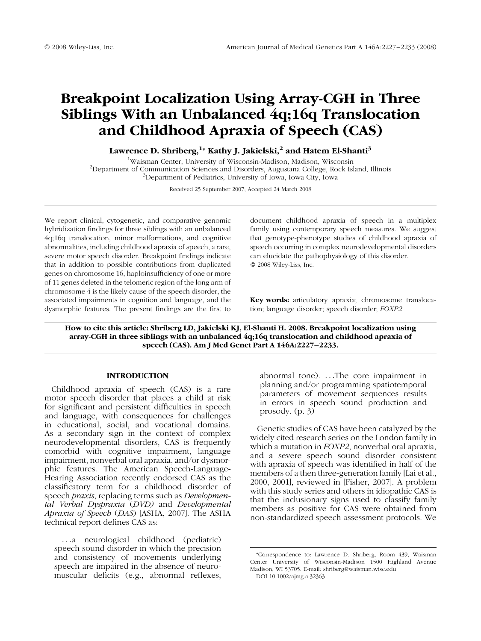# Breakpoint Localization Using Array-CGH in Three Siblings With an Unbalanced 4q;16q Translocation and Childhood Apraxia of Speech (CAS)

Lawrence D. Shriberg, $^{\rm 1*}$  Kathy J. Jakielski, $^{\rm 2}$  and Hatem El-Shanti $^{\rm 3}$ 

<sup>1</sup>Waisman Center, University of Wisconsin-Madison, Madison, Wisconsin<sup>2</sup><br><sup>2</sup>Department of Communication Sciences and Disorders, Augustans Collage, Book Isl  $P^2$ Department of Communication Sciences and Disorders, Augustana College, Rock Island, Illinois Department of Pediatrics, University of Iowa, Iowa City, Iowa

Received 25 September 2007; Accepted 24 March 2008

We report clinical, cytogenetic, and comparative genomic hybridization findings for three siblings with an unbalanced 4q;16q translocation, minor malformations, and cognitive abnormalities, including childhood apraxia of speech, a rare, severe motor speech disorder. Breakpoint findings indicate that in addition to possible contributions from duplicated genes on chromosome 16, haploinsufficiency of one or more of 11 genes deleted in the telomeric region of the long arm of chromosome 4 is the likely cause of the speech disorder, the associated impairments in cognition and language, and the dysmorphic features. The present findings are the first to document childhood apraxia of speech in a multiplex family using contemporary speech measures. We suggest that genotype-phenotype studies of childhood apraxia of speech occurring in complex neurodevelopmental disorders can elucidate the pathophysiology of this disorder. 2008 Wiley-Liss, Inc.

Key words: articulatory apraxia; chromosome translocation; language disorder; speech disorder; FOXP2

How to cite this article: Shriberg LD, Jakielski KJ, El-Shanti H. 2008. Breakpoint localization using array-CGH in three siblings with an unbalanced 4q;16q translocation and childhood apraxia of speech (CAS). Am J Med Genet Part A 146A:2227–2233.

## INTRODUCTION

Childhood apraxia of speech (CAS) is a rare motor speech disorder that places a child at risk for significant and persistent difficulties in speech and language, with consequences for challenges in educational, social, and vocational domains. As a secondary sign in the context of complex neurodevelopmental disorders, CAS is frequently comorbid with cognitive impairment, language impairment, nonverbal oral apraxia, and/or dysmorphic features. The American Speech-Language-Hearing Association recently endorsed CAS as the classificatory term for a childhood disorder of speech praxis, replacing terms such as Developmental Verbal Dyspraxia (DVD) and Developmental Apraxia of Speech (DAS) [ASHA, 2007]. The ASHA technical report defines CAS as:

...a neurological childhood (pediatric) speech sound disorder in which the precision and consistency of movements underlying speech are impaired in the absence of neuromuscular deficits (e.g., abnormal reflexes,

abnormal tone). ...The core impairment in planning and/or programming spatiotemporal parameters of movement sequences results in errors in speech sound production and prosody. (p. 3)

Genetic studies of CAS have been catalyzed by the widely cited research series on the London family in which a mutation in *FOXP2*, nonverbal oral apraxia, and a severe speech sound disorder consistent with apraxia of speech was identified in half of the members of a then three-generation family [Lai et al., 2000, 2001], reviewed in [Fisher, 2007]. A problem with this study series and others in idiopathic CAS is that the inclusionary signs used to classify family members as positive for CAS were obtained from non-standardized speech assessment protocols. We

<sup>\*</sup>Correspondence to: Lawrence D. Shriberg, Room 439, Waisman Center University of Wisconsin-Madison 1500 Highland Avenue Madison, WI 53705. E-mail: shriberg@waisman.wisc.edu DOI 10.1002/ajmg.a.32363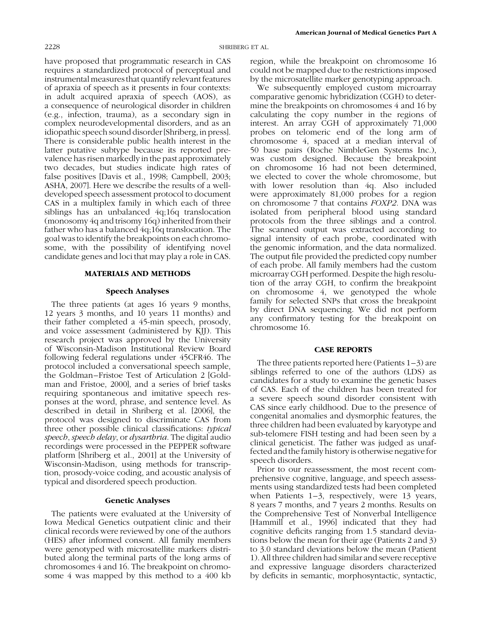have proposed that programmatic research in CAS requires a standardized protocol of perceptual and instrumental measures that quantify relevant features of apraxia of speech as it presents in four contexts: in adult acquired apraxia of speech (AOS), as a consequence of neurological disorder in children (e.g., infection, trauma), as a secondary sign in complex neurodevelopmental disorders, and as an idiopathic speech sound disorder [Shriberg, in press]. There is considerable public health interest in the latter putative subtype because its reported prevalence has risen markedly in the past approximately two decades, but studies indicate high rates of false positives [Davis et al., 1998; Campbell, 2003; ASHA, 2007]. Here we describe the results of a welldeveloped speech assessment protocol to document CAS in a multiplex family in which each of three siblings has an unbalanced 4q;16q translocation (monosomy 4q and trisomy 16q) inherited from their father who has a balanced 4q;16q translocation. The goal was to identify the breakpoints on each chromosome, with the possibility of identifying novel candidate genes and loci that may play a role in CAS.

#### MATERIALS AND METHODS

## Speech Analyses

The three patients (at ages 16 years 9 months, 12 years 3 months, and 10 years 11 months) and their father completed a 45-min speech, prosody, and voice assessment (administered by KJJ). This research project was approved by the University of Wisconsin-Madison Institutional Review Board following federal regulations under 45CFR46. The protocol included a conversational speech sample, the Goldman–Fristoe Test of Articulation 2 [Goldman and Fristoe, 2000], and a series of brief tasks requiring spontaneous and imitative speech responses at the word, phrase, and sentence level. As described in detail in Shriberg et al. [2006], the protocol was designed to discriminate CAS from three other possible clinical classifications: typical speech, speech delay, or dysarthria. The digital audio recordings were processed in the PEPPER software platform [Shriberg et al., 2001] at the University of Wisconsin-Madison, using methods for transcription, prosody-voice coding, and acoustic analysis of typical and disordered speech production.

#### Genetic Analyses

The patients were evaluated at the University of Iowa Medical Genetics outpatient clinic and their clinical records were reviewed by one of the authors (HES) after informed consent. All family members were genotyped with microsatellite markers distributed along the terminal parts of the long arms of chromosomes 4 and 16. The breakpoint on chromosome 4 was mapped by this method to a 400 kb

region, while the breakpoint on chromosome 16 could not be mapped due to the restrictions imposed by the microsatellite marker genotyping approach.

We subsequently employed custom microarray comparative genomic hybridization (CGH) to determine the breakpoints on chromosomes 4 and 16 by calculating the copy number in the regions of interest. An array CGH of approximately 71,000 probes on telomeric end of the long arm of chromosome 4, spaced at a median interval of 50 base pairs (Roche NimbleGen Systems Inc.), was custom designed. Because the breakpoint on chromosome 16 had not been determined, we elected to cover the whole chromosome, but with lower resolution than 4q. Also included were approximately 81,000 probes for a region on chromosome 7 that contains FOXP2. DNA was isolated from peripheral blood using standard protocols from the three siblings and a control. The scanned output was extracted according to signal intensity of each probe, coordinated with the genomic information, and the data normalized. The output file provided the predicted copy number of each probe. All family members had the custom microarray CGH performed. Despite the high resolution of the array CGH, to confirm the breakpoint on chromosome 4, we genotyped the whole family for selected SNPs that cross the breakpoint by direct DNA sequencing. We did not perform any confirmatory testing for the breakpoint on chromosome 16.

## CASE REPORTS

The three patients reported here (Patients 1–3) are siblings referred to one of the authors (LDS) as candidates for a study to examine the genetic bases of CAS. Each of the children has been treated for a severe speech sound disorder consistent with CAS since early childhood. Due to the presence of congenital anomalies and dysmorphic features, the three children had been evaluated by karyotype and sub-telomere FISH testing and had been seen by a clinical geneticist. The father was judged as unaffected and the family history is otherwise negative for speech disorders.

Prior to our reassessment, the most recent comprehensive cognitive, language, and speech assessments using standardized tests had been completed when Patients 1-3, respectively, were 13 years, 8 years 7 months, and 7 years 2 months. Results on the Comprehensive Test of Nonverbal Intelligence [Hammill et al., 1996] indicated that they had cognitive deficits ranging from 1.5 standard deviations below the mean for their age (Patients 2 and 3) to 3.0 standard deviations below the mean (Patient 1). All three children had similar and severe receptive and expressive language disorders characterized by deficits in semantic, morphosyntactic, syntactic,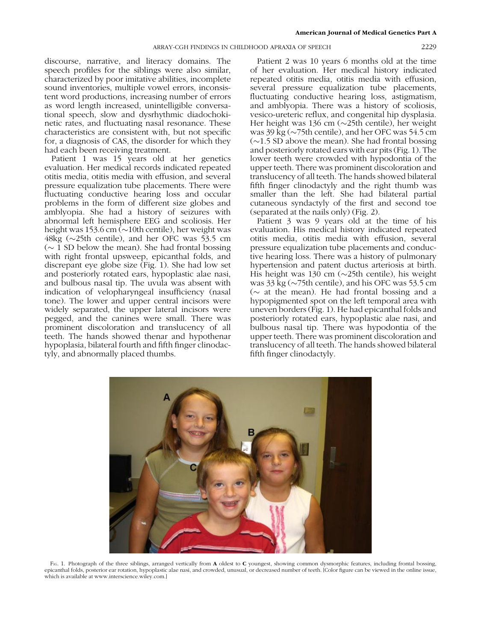discourse, narrative, and literacy domains. The speech profiles for the siblings were also similar, characterized by poor imitative abilities, incomplete sound inventories, multiple vowel errors, inconsistent word productions, increasing number of errors as word length increased, unintelligible conversational speech, slow and dysrhythmic diadochokinetic rates, and fluctuating nasal resonance. These characteristics are consistent with, but not specific for, a diagnosis of CAS, the disorder for which they had each been receiving treatment.

Patient 1 was 15 years old at her genetics evaluation. Her medical records indicated repeated otitis media, otitis media with effusion, and several pressure equalization tube placements. There were fluctuating conductive hearing loss and occular problems in the form of different size globes and amblyopia. She had a history of seizures with abnormal left hemisphere EEG and scoliosis. Her height was 153.6 cm ( $\sim$ 10th centile), her weight was 48kg ( $\sim$ 25th centile), and her OFC was 53.5 cm  $(\sim 1$  SD below the mean). She had frontal bossing with right frontal upsweep, epicanthal folds, and discrepant eye globe size (Fig. 1). She had low set and posteriorly rotated ears, hypoplastic alae nasi, and bulbous nasal tip. The uvula was absent with indication of velopharyngeal insufficiency (nasal tone). The lower and upper central incisors were widely separated, the upper lateral incisors were pegged, and the canines were small. There was prominent discoloration and translucency of all teeth. The hands showed thenar and hypothenar hypoplasia, bilateral fourth and fifth finger clinodactyly, and abnormally placed thumbs.

Patient 2 was 10 years 6 months old at the time of her evaluation. Her medical history indicated repeated otitis media, otitis media with effusion, several pressure equalization tube placements, fluctuating conductive hearing loss, astigmatism, and amblyopia. There was a history of scoliosis, vesico-ureteric reflux, and congenital hip dysplasia. Her height was 136 cm  $(\sim 25$ th centile), her weight was  $39 \text{ kg}$  ( $\sim$ 75th centile), and her OFC was 54.5 cm  $(\sim1.5$  SD above the mean). She had frontal bossing and posteriorly rotated ears with ear pits (Fig. 1). The lower teeth were crowded with hypodontia of the upper teeth. There was prominent discoloration and translucency of all teeth. The hands showed bilateral fifth finger clinodactyly and the right thumb was smaller than the left. She had bilateral partial cutaneous syndactyly of the first and second toe (separated at the nails only) (Fig. 2).

Patient 3 was 9 years old at the time of his evaluation. His medical history indicated repeated otitis media, otitis media with effusion, several pressure equalization tube placements and conductive hearing loss. There was a history of pulmonary hypertension and patent ductus arteriosis at birth. His height was 130 cm  $(\sim 25$ th centile), his weight was  $33 \text{ kg}$  ( $\sim$ 75th centile), and his OFC was 53.5 cm ( $\sim$  at the mean). He had frontal bossing and a hypopigmented spot on the left temporal area with uneven borders (Fig. 1). He had epicanthal folds and posteriorly rotated ears, hypoplastic alae nasi, and bulbous nasal tip. There was hypodontia of the upper teeth. There was prominent discoloration and translucency of all teeth. The hands showed bilateral fifth finger clinodactyly.



FIG. 1. Photograph of the three siblings, arranged vertically from A oldest to C youngest, showing common dysmorphic features, including frontal bossing, epicanthal folds, posterior ear rotation, hypoplastic alae nasi, and crowded, unusual, or decreased number of teeth. [Color figure can be viewed in the online issue, which is available at www.interscience.wiley.com.]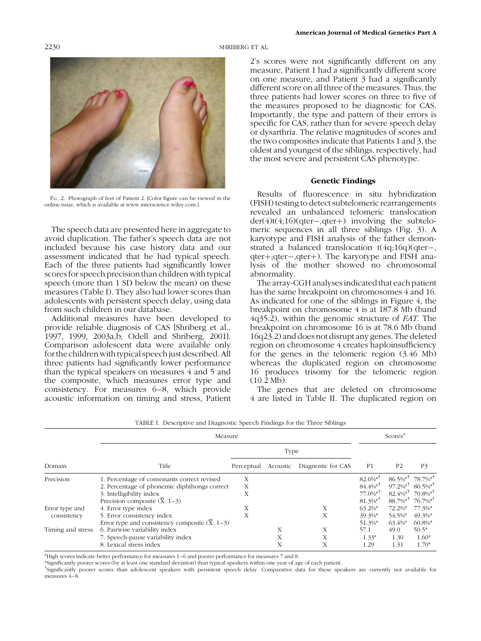2230 SHRIBERG ET AL.



FIG. 2. Photograph of feet of Patient 2. [Color figure can be viewed in the online issue, which is available at www.interscience.wiley.com.]

The speech data are presented here in aggregate to avoid duplication. The father's speech data are not included because his case history data and our assessment indicated that he had typical speech. Each of the three patients had significantly lower scores for speech precision than children with typical speech (more than 1 SD below the mean) on these measures (Table I). They also had lower scores than adolescents with persistent speech delay, using data from such children in our database.

Additional measures have been developed to provide reliable diagnosis of CAS [Shriberg et al., 1997, 1999, 2003a,b; Odell and Shriberg, 2001]. Comparison adolescent data were available only for the children with typical speech just described. All three patients had significantly lower performance than the typical speakers on measures 4 and 5 and the composite, which measures error type and consistency. For measures 6–8, which provide acoustic information on timing and stress, Patient

2's scores were not significantly different on any measure, Patient 1 had a significantly different score on one measure, and Patient 3 had a significantly different score on all three of the measures. Thus, the three patients had lower scores on three to five of the measures proposed to be diagnostic for CAS. Importantly, the type and pattern of their errors is specific for CAS, rather than for severe speech delay or dysarthria. The relative magnitudes of scores and the two composites indicate that Patients 1 and 3, the oldest and youngest of the siblings, respectively, had the most severe and persistent CAS phenotype.

## Genetic Findings

Results of fluorescence in situ hybridization (FISH) testing to detect subtelomeric rearrangements revealed an unbalanced telomeric translocation  $der(4)t(4;16)(qter-,qter+)$  involving the subtelomeric sequences in all three siblings (Fig. 3). A karyotype and FISH analysis of the father demonstrated a balanced translocation t(4q;16q)(qter-, qter+;qter-,qter+). The karyotype and FISH analysis of the mother showed no chromosomal abnormality.

The array-CGH analyses indicated that each patient has the same breakpoint on chromosomes 4 and 16. As indicated for one of the siblings in Figure 4, the breakpoint on chromosome 4 is at 187.8 Mb (band 4q35.2), within the genomic structure of FAT. The breakpoint on chromosome 16 is at 78.6 Mb (band 16q23.2) and does not disrupt any genes. The deleted region on chromosome 4 creates haploinsufficiency for the genes in the telomeric region (3.46 Mb) whereas the duplicated region on chromosome 16 produces trisomy for the telomeric region  $(10.2 \text{ Mb})$ .

The genes that are deleted on chromosome 4 are listed in Table II. The duplicated region on

|                               | Trible 1. Descriptive and Diagnostic opecen i intango for the Timee onomigo<br>Measure                                                                               |             |             |                    |                                                                                                      | Scores <sup>a</sup>                                                                                     |                                                                      |  |
|-------------------------------|----------------------------------------------------------------------------------------------------------------------------------------------------------------------|-------------|-------------|--------------------|------------------------------------------------------------------------------------------------------|---------------------------------------------------------------------------------------------------------|----------------------------------------------------------------------|--|
|                               |                                                                                                                                                                      | Type        |             |                    |                                                                                                      |                                                                                                         |                                                                      |  |
| Domain                        | Title                                                                                                                                                                | Perceptual  | Acoustic    | Diagnostic for CAS | P <sub>1</sub>                                                                                       | P <sub>2</sub>                                                                                          | <b>P3</b>                                                            |  |
| Precision                     | 1. Percentage of consonants correct revised<br>2. Percentage of phonemic diphthongs correct<br>3. Intelligibility index<br>Precision composite $(\overline{X}: 1-3)$ | Х<br>Х<br>X |             |                    | $82.6\%$ <sup>*1</sup><br>$84.4\%$ <sup>*†</sup><br>$77.0\%$ <sup>*T</sup><br>$81.3\%$ <sup>*†</sup> | $86.5\%$ <sup>*T</sup><br>$97.2\%$ * <sup>†</sup><br>$82.4\%$ * <sup>†</sup><br>$88.7\%$ * <sup>†</sup> | 78.7%*<br>$80.5\%$ <sup>*†</sup><br>$70.8\%$ <sup>*†</sup><br>76.7%* |  |
| Error type and<br>consistency | 4. Error type index<br>5. Error consistency index<br>Error type and consistency composite $(\overline{X}: 1-3)$                                                      | Х<br>X      |             | Х<br>X             | $63.2\%$ <sup>*</sup><br>39.3%*<br>51.3%*                                                            | 72.2%*<br>54.5%*<br>$63.4\%$                                                                            | 77.3%*<br>$49.3\%$ *<br>$60.8\%$ *                                   |  |
| Timing and stress             | 6. Pairwise variability index<br>7. Speech-pause variability index<br>8. Lexical stress index                                                                        |             | X<br>X<br>X | X<br>Х<br>Х        | 57.1<br>$1.33*$<br>1.29                                                                              | 49.0<br>1.30<br>1.31                                                                                    | $50.5*$<br>$1.60*$<br>$1.70*$                                        |  |

|  |  | TABLE I. Descriptive and Diagnostic Speech Findings for the Three Siblings |  |  |
|--|--|----------------------------------------------------------------------------|--|--|
|--|--|----------------------------------------------------------------------------|--|--|

a High scores indicate better performance for measures 1–6 and poorer performance for measures 7 and 8.

\*Significantly poorer scores (by at least one standard deviation) than typical speakers within one year of age of each patient.

{ Significantly poorer scores than adolescent speakers with persistent speech delay. Comparative data for these speakers are currently not available for measures 4–8.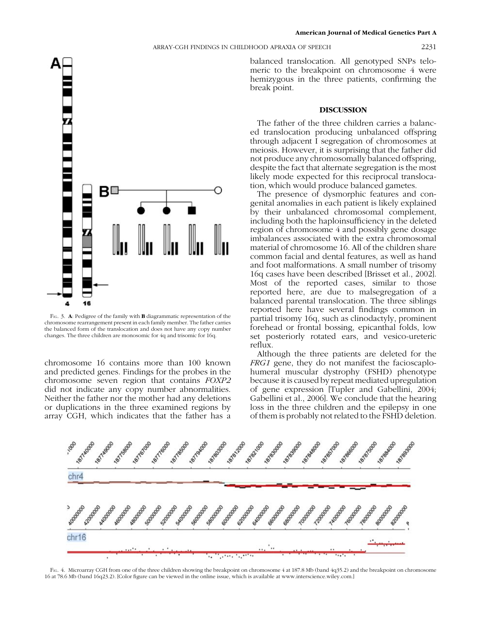ARRAY-CGH FINDINGS IN CHILDHOOD APRAXIA OF SPEECH 2231



FIG. 3. A: Pedigree of the family with **B** diagrammatic representation of the chromosome rearrangement present in each family member. The father carries the balanced form of the translocation and does not have any copy number changes. The three children are monosomic for 4q and trisomic for 16q.

chromosome 16 contains more than 100 known and predicted genes. Findings for the probes in the chromosome seven region that contains FOXP2 did not indicate any copy number abnormalities. Neither the father nor the mother had any deletions or duplications in the three examined regions by array CGH, which indicates that the father has a

balanced translocation. All genotyped SNPs telomeric to the breakpoint on chromosome 4 were hemizygous in the three patients, confirming the break point.

#### DISCUSSION

The father of the three children carries a balanced translocation producing unbalanced offspring through adjacent I segregation of chromosomes at meiosis. However, it is surprising that the father did not produce any chromosomally balanced offspring, despite the fact that alternate segregation is the most likely mode expected for this reciprocal translocation, which would produce balanced gametes.

The presence of dysmorphic features and congenital anomalies in each patient is likely explained by their unbalanced chromosomal complement, including both the haploinsufficiency in the deleted region of chromosome 4 and possibly gene dosage imbalances associated with the extra chromosomal material of chromosome 16. All of the children share common facial and dental features, as well as hand and foot malformations. A small number of trisomy 16q cases have been described [Brisset et al., 2002]. Most of the reported cases, similar to those reported here, are due to malsegregation of a balanced parental translocation. The three siblings reported here have several findings common in partial trisomy 16q, such as clinodactyly, prominent forehead or frontal bossing, epicanthal folds, low set posteriorly rotated ears, and vesico-ureteric reflux.

Although the three patients are deleted for the FRG1 gene, they do not manifest the facioscaplohumeral muscular dystrophy (FSHD) phenotype because it is caused by repeat mediated upregulation of gene expression [Tupler and Gabellini, 2004; Gabellini et al., 2006]. We conclude that the hearing loss in the three children and the epilepsy in one of them is probably not related to the FSHD deletion.



FIG. 4. Microarray CGH from one of the three children showing the breakpoint on chromosome 4 at 187.8 Mb (band 4q35.2) and the breakpoint on chromosome 16 at 78.6 Mb (band 16q23.2). [Color figure can be viewed in the online issue, which is available at www.interscience.wiley.com.]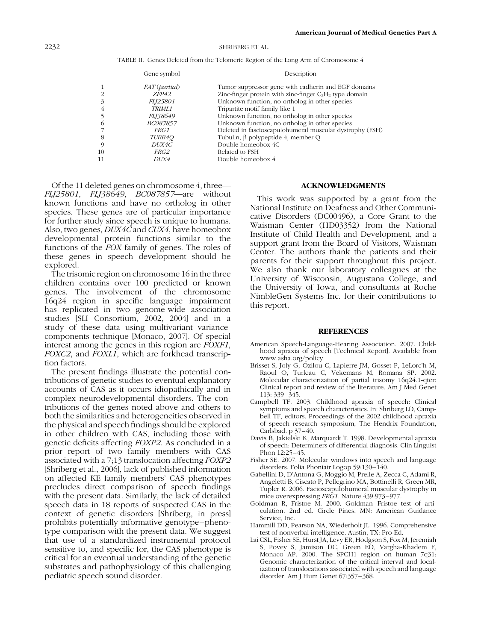|          | TABLE II. Genes Deleted from the Telomeric Region of the Long Arm of Chromosome 4 |                                                           |  |  |  |  |
|----------|-----------------------------------------------------------------------------------|-----------------------------------------------------------|--|--|--|--|
|          | Gene symbol                                                                       | Description                                               |  |  |  |  |
|          | <i>FAT</i> ( <i>partial</i> )                                                     | Tumor suppressor gene with cadherin and EGF domains       |  |  |  |  |
|          | ZFP42                                                                             | Zinc-finger protein with zinc-finger $C_2H_2$ type domain |  |  |  |  |
|          | <i>FLJ25801</i>                                                                   | Unknown function, no ortholog in other species            |  |  |  |  |
| 4        | <i>TRIML1</i>                                                                     | Tripartite motif family like 1                            |  |  |  |  |
|          | <i>FLI38649</i>                                                                   | Unknown function, no ortholog in other species            |  |  |  |  |
| $\Omega$ | BC087857                                                                          | Unknown function, no ortholog in other species            |  |  |  |  |
|          | <i>FRG1</i>                                                                       | Deleted in fascioscapulohumeral muscular dystrophy (FSH)  |  |  |  |  |
| 8        | TUBB4O                                                                            | Tubulin, $\beta$ polypeptide 4, member Q                  |  |  |  |  |
| 9        | DUX4C                                                                             | Double homeobox 4C                                        |  |  |  |  |
| 10       | <i>FRG2</i>                                                                       | Related to FSH                                            |  |  |  |  |
| 11       | DUX4                                                                              | Double homeobox 4                                         |  |  |  |  |

Of the 11 deleted genes on chromosome 4, three— FLJ25801, FLJ38649, BC087857—are without known functions and have no ortholog in other species. These genes are of particular importance for further study since speech is unique to humans. Also, two genes, DUX4C and CUX4, have homeobox developmental protein functions similar to the functions of the FOX family of genes. The roles of these genes in speech development should be explored.

The trisomic region on chromosome 16 in the three children contains over 100 predicted or known genes. The involvement of the chromosome 16q24 region in specific language impairment has replicated in two genome-wide association studies [SLI Consortium, 2002, 2004] and in a study of these data using multivariant variancecomponents technique [Monaco, 2007]. Of special interest among the genes in this region are FOXF1, FOXC2, and FOXL1, which are forkhead transcription factors.

The present findings illustrate the potential contributions of genetic studies to eventual explanatory accounts of CAS as it occurs idiopathically and in complex neurodevelopmental disorders. The contributions of the genes noted above and others to both the similarities and heterogeneities observed in the physical and speech findings should be explored in other children with CAS, including those with genetic deficits affecting FOXP2. As concluded in a prior report of two family members with CAS associated with a 7;13 translocation affecting FOXP2 [Shriberg et al., 2006], lack of published information on affected KE family members' CAS phenotypes precludes direct comparison of speech findings with the present data. Similarly, the lack of detailed speech data in 18 reports of suspected CAS in the context of genetic disorders [Shriberg, in press] prohibits potentially informative genotype–phenotype comparison with the present data. We suggest that use of a standardized instrumental protocol sensitive to, and specific for, the CAS phenotype is critical for an eventual understanding of the genetic substrates and pathophysiology of this challenging pediatric speech sound disorder.

#### ACKNOWLEDGMENTS

This work was supported by a grant from the National Institute on Deafness and Other Communicative Disorders (DC00496), a Core Grant to the Waisman Center (HD03352) from the National Institute of Child Health and Development, and a support grant from the Board of Visitors, Waisman Center. The authors thank the patients and their parents for their support throughout this project. We also thank our laboratory colleagues at the University of Wisconsin, Augustana College, and the University of Iowa, and consultants at Roche NimbleGen Systems Inc. for their contributions to this report.

#### **REFERENCES**

- American Speech-Language-Hearing Association. 2007. Childhood apraxia of speech [Technical Report]. Available from www.asha.org/policy.
- Brisset S, Joly G, Ozilou C, Lapierre JM, Gosset P, LeLorc'h M, Raoul O, Turleau C, Vekemans M, Romana SP. 2002. Molecular characterization of partial trisomy 16q24.1-qter: Clinical report and review of the literature. Am J Med Genet 113: 339–345.
- Campbell TF. 2003. Childhood apraxia of speech: Clinical symptoms and speech characteristics. In: Shriberg LD, Campbell TF, editors. Proceedings of the 2002 childhood apraxia of speech research symposium, The Hendrix Foundation, Carlsbad. p 37–40.
- Davis B, Jakielski K, Marquardt T. 1998. Developmental apraxia of speech: Determiners of differential diagnosis. Clin Linguist Phon 12:25–45.
- Fisher SE. 2007. Molecular windows into speech and language disorders. Folia Phoniatr Logop 59:130–140.
- Gabellini D, D'Antona G, Moggio M, Prelle A, Zecca C, Adami R, Angeletti B, Ciscato P, Pellegrino MA, Bottinelli R, Green MR, Tupler R. 2006. Facioscapulohumeral muscular dystrophy in mice overexpressing FRG1. Nature 439:973–977.
- Goldman R, Fristoe M. 2000. Goldman–Fristoe test of articulation. 2nd ed. Circle Pines, MN: American Guidance Service, Inc.
- Hammill DD, Pearson NA, Wiederholt JL. 1996. Comprehensive test of nonverbal intelligence. Austin, TX: Pro-Ed.
- Lai CSL, Fisher SE, Hurst JA, Levy ER, Hodgson S, Fox M, Jeremiah S, Povey S, Jamison DC, Green ED, Vargha-Khadem F, Monaco AP. 2000. The SPCH1 region on human 7q31: Genomic characterization of the critical interval and localization of translocations associated with speech and language disorder. Am J Hum Genet 67:357–368.